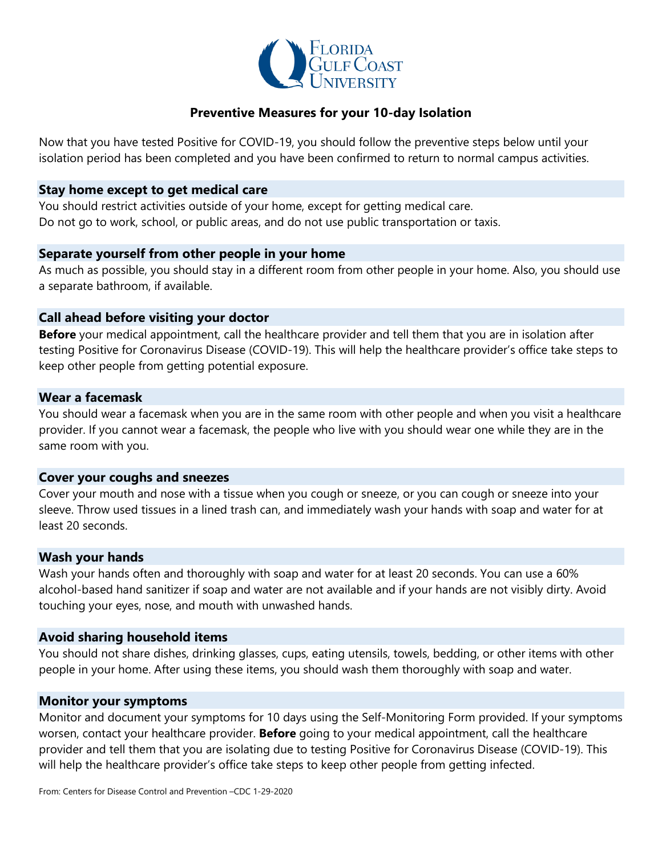

## **Preventive Measures for your 10-day Isolation**

Now that you have tested Positive for COVID-19, you should follow the preventive steps below until your isolation period has been completed and you have been confirmed to return to normal campus activities.

### **Stay home except to get medical care**

You should restrict activities outside of your home, except for getting medical care. Do not go to work, school, or public areas, and do not use public transportation or taxis.

## **Separate yourself from other people in your home**

As much as possible, you should stay in a different room from other people in your home. Also, you should use a separate bathroom, if available.

## **Call ahead before visiting your doctor**

**Before** your medical appointment, call the healthcare provider and tell them that you are in isolation after testing Positive for Coronavirus Disease (COVID-19). This will help the healthcare provider's office take steps to keep other people from getting potential exposure.

### **Wear a facemask**

You should wear a facemask when you are in the same room with other people and when you visit a healthcare provider. If you cannot wear a facemask, the people who live with you should wear one while they are in the same room with you.

#### **Cover your coughs and sneezes**

Cover your mouth and nose with a tissue when you cough or sneeze, or you can cough or sneeze into your sleeve. Throw used tissues in a lined trash can, and immediately wash your hands with soap and water for at least 20 seconds.

#### **Wash your hands**

Wash your hands often and thoroughly with soap and water for at least 20 seconds. You can use a 60% alcohol-based hand sanitizer if soap and water are not available and if your hands are not visibly dirty. Avoid touching your eyes, nose, and mouth with unwashed hands.

## **Avoid sharing household items**

You should not share dishes, drinking glasses, cups, eating utensils, towels, bedding, or other items with other people in your home. After using these items, you should wash them thoroughly with soap and water.

#### **Monitor your symptoms**

Monitor and document your symptoms for 10 days using the Self-Monitoring Form provided. If your symptoms worsen, contact your healthcare provider. **Before** going to your medical appointment, call the healthcare provider and tell them that you are isolating due to testing Positive for Coronavirus Disease (COVID-19). This will help the healthcare provider's office take steps to keep other people from getting infected.